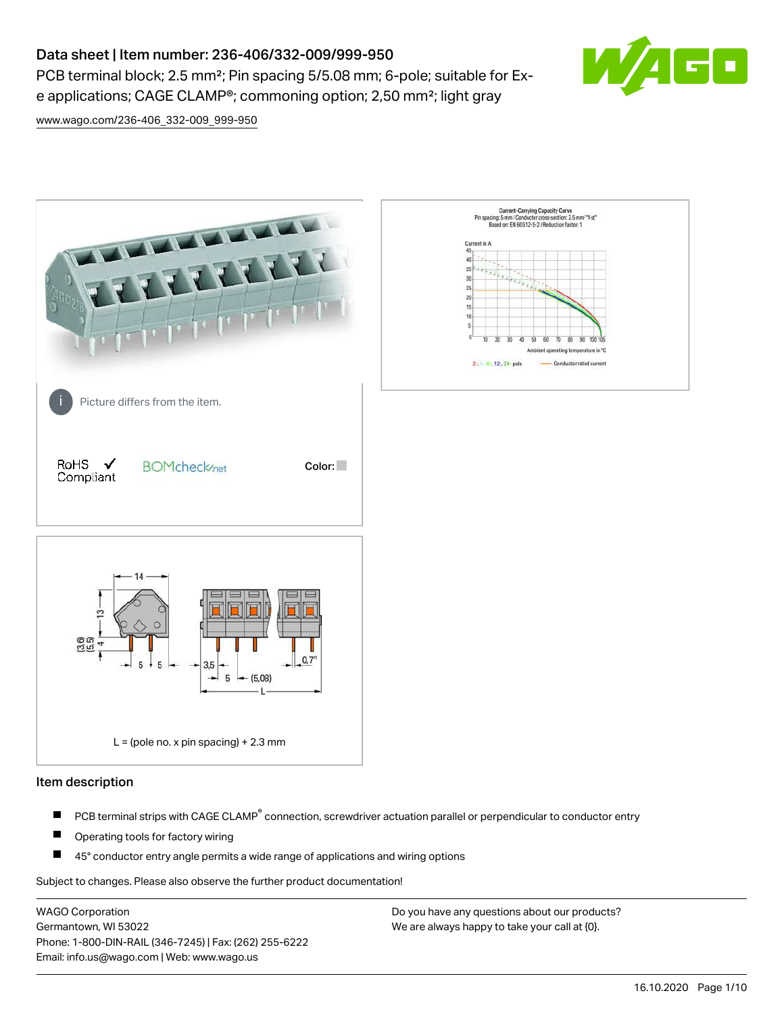# Data sheet | Item number: 236-406/332-009/999-950

PCB terminal block; 2.5 mm<sup>2</sup>; Pin spacing 5/5.08 mm; 6-pole; suitable for Exe applications; CAGE CLAMP®; commoning option; 2,50 mm²; light gray



[www.wago.com/236-406\\_332-009\\_999-950](http://www.wago.com/236-406_332-009_999-950)



#### Item description

- PCB terminal strips with CAGE CLAMP<sup>®</sup> connection, screwdriver actuation parallel or perpendicular to conductor entry П
- П Operating tools for factory wiring
- П 45° conductor entry angle permits a wide range of applications and wiring options

Subject to changes. Please also observe the further product documentation!

WAGO Corporation Germantown, WI 53022 Phone: 1-800-DIN-RAIL (346-7245) | Fax: (262) 255-6222 Email: info.us@wago.com | Web: www.wago.us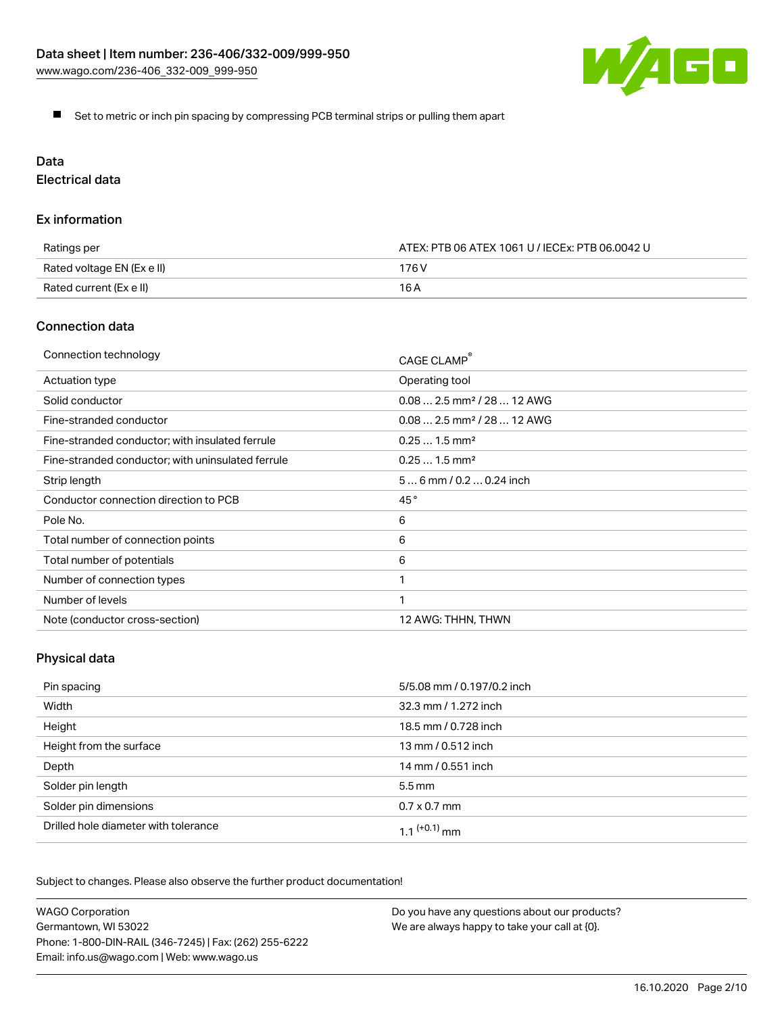

Set to metric or inch pin spacing by compressing PCB terminal strips or pulling them apart

# Data

Electrical data

#### Ex information

| Ratings per                | ATEX: PTB 06 ATEX 1061 U / IECEx: PTB 06.0042 U |  |
|----------------------------|-------------------------------------------------|--|
| Rated voltage EN (Ex e II) | 176 V                                           |  |
| Rated current (Ex e II)    | 16 A                                            |  |

### Connection data

| Connection technology                             | CAGE CLAMP®                            |
|---------------------------------------------------|----------------------------------------|
| Actuation type                                    | Operating tool                         |
| Solid conductor                                   | $0.082.5$ mm <sup>2</sup> / 28  12 AWG |
| Fine-stranded conductor                           | $0.082.5$ mm <sup>2</sup> / 28  12 AWG |
| Fine-stranded conductor; with insulated ferrule   | $0.251.5$ mm <sup>2</sup>              |
| Fine-stranded conductor; with uninsulated ferrule | $0.251.5$ mm <sup>2</sup>              |
| Strip length                                      | $56$ mm / 0.2 $$ 0.24 inch             |
| Conductor connection direction to PCB             | 45°                                    |
| Pole No.                                          | 6                                      |
| Total number of connection points                 | 6                                      |
| Total number of potentials                        | 6                                      |
| Number of connection types                        |                                        |
| Number of levels                                  | 1                                      |
| Note (conductor cross-section)                    | 12 AWG: THHN, THWN                     |

# Physical data

| Pin spacing                          | 5/5.08 mm / 0.197/0.2 inch |
|--------------------------------------|----------------------------|
| Width                                | 32.3 mm / 1.272 inch       |
| Height                               | 18.5 mm / 0.728 inch       |
| Height from the surface              | 13 mm / 0.512 inch         |
| Depth                                | 14 mm / 0.551 inch         |
| Solder pin length                    | $5.5 \,\mathrm{mm}$        |
| Solder pin dimensions                | $0.7 \times 0.7$ mm        |
| Drilled hole diameter with tolerance | $1.1$ <sup>(+0.1)</sup> mm |

Subject to changes. Please also observe the further product documentation!

| <b>WAGO Corporation</b>                                | Do you have any questions about our products? |
|--------------------------------------------------------|-----------------------------------------------|
| Germantown, WI 53022                                   | We are always happy to take your call at {0}. |
| Phone: 1-800-DIN-RAIL (346-7245)   Fax: (262) 255-6222 |                                               |
| Email: info.us@wago.com   Web: www.wago.us             |                                               |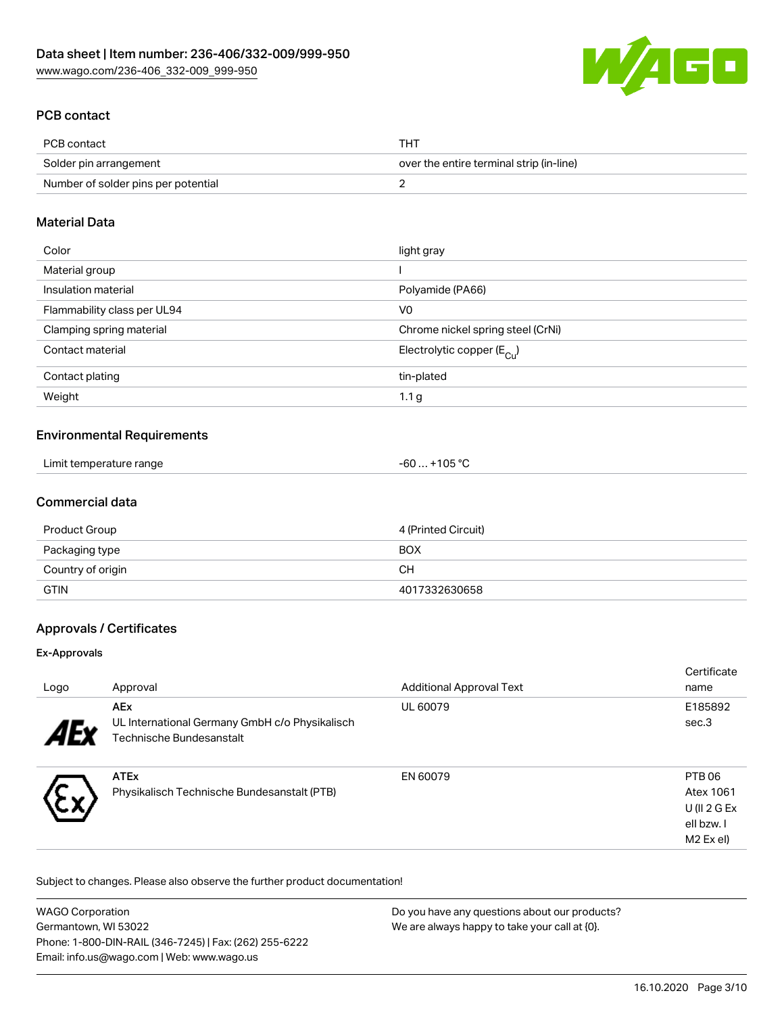

## PCB contact

| PCB contact                         | THT                                      |
|-------------------------------------|------------------------------------------|
| Solder pin arrangement              | over the entire terminal strip (in-line) |
| Number of solder pins per potential |                                          |

## Material Data

| Color                       | light gray                              |
|-----------------------------|-----------------------------------------|
| Material group              |                                         |
| Insulation material         | Polyamide (PA66)                        |
| Flammability class per UL94 | V <sub>0</sub>                          |
| Clamping spring material    | Chrome nickel spring steel (CrNi)       |
| Contact material            | Electrolytic copper ( $E_{\text{Cl}}$ ) |
| Contact plating             | tin-plated                              |
| Weight                      | 1.1 <sub>g</sub>                        |

## Environmental Requirements

| Limit temperature range | $-60+105 °C$ |
|-------------------------|--------------|
|-------------------------|--------------|

## Commercial data

| Product Group     | 4 (Printed Circuit) |
|-------------------|---------------------|
| Packaging type    | <b>BOX</b>          |
| Country of origin | CH.                 |
| <b>GTIN</b>       | 4017332630658       |

#### Approvals / Certificates

#### Ex-Approvals

| Logo       | Approval                                                                                 | <b>Additional Approval Text</b> | Certificate<br>name                                              |
|------------|------------------------------------------------------------------------------------------|---------------------------------|------------------------------------------------------------------|
| <b>AEx</b> | <b>AEx</b><br>UL International Germany GmbH c/o Physikalisch<br>Technische Bundesanstalt | UL 60079                        | E185892<br>sec.3                                                 |
|            | <b>ATEx</b><br>Physikalisch Technische Bundesanstalt (PTB)                               | EN 60079                        | PTB 06<br>Atex 1061<br>U (II $2$ G Ex<br>ell bzw. I<br>M2 Ex el) |

Subject to changes. Please also observe the further product documentation!

| <b>WAGO Corporation</b>                                | Do you have any questions about our products? |
|--------------------------------------------------------|-----------------------------------------------|
| Germantown, WI 53022                                   | We are always happy to take your call at {0}. |
| Phone: 1-800-DIN-RAIL (346-7245)   Fax: (262) 255-6222 |                                               |
| Email: info.us@wago.com   Web: www.wago.us             |                                               |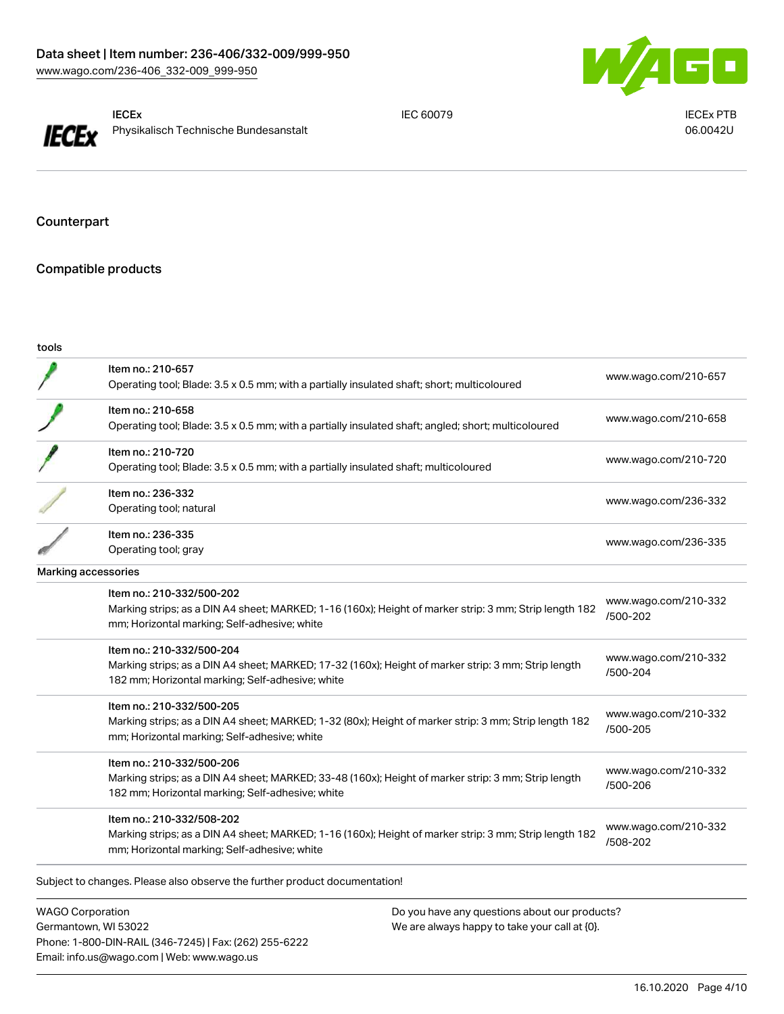



IECEx Physikalisch Technische Bundesanstalt

IEC 60079 IECEx PTB 06.0042U

Counterpart

## Compatible products

| tools                      |                                                                                                                                                                                      |                                  |
|----------------------------|--------------------------------------------------------------------------------------------------------------------------------------------------------------------------------------|----------------------------------|
|                            | Item no.: 210-657<br>Operating tool; Blade: 3.5 x 0.5 mm; with a partially insulated shaft; short; multicoloured                                                                     | www.wago.com/210-657             |
|                            | Item no.: 210-658<br>Operating tool; Blade: 3.5 x 0.5 mm; with a partially insulated shaft; angled; short; multicoloured                                                             | www.wago.com/210-658             |
|                            | Item no.: 210-720<br>Operating tool; Blade: 3.5 x 0.5 mm; with a partially insulated shaft; multicoloured                                                                            | www.wago.com/210-720             |
|                            | Item no.: 236-332<br>Operating tool; natural                                                                                                                                         | www.wago.com/236-332             |
|                            | Item no.: 236-335<br>Operating tool; gray                                                                                                                                            | www.wago.com/236-335             |
| <b>Marking accessories</b> |                                                                                                                                                                                      |                                  |
|                            | Item no.: 210-332/500-202<br>Marking strips; as a DIN A4 sheet; MARKED; 1-16 (160x); Height of marker strip: 3 mm; Strip length 182<br>mm; Horizontal marking; Self-adhesive; white  | www.wago.com/210-332<br>/500-202 |
|                            | Item no.: 210-332/500-204<br>Marking strips; as a DIN A4 sheet; MARKED; 17-32 (160x); Height of marker strip: 3 mm; Strip length<br>182 mm; Horizontal marking; Self-adhesive; white | www.wago.com/210-332<br>/500-204 |
|                            | Item no.: 210-332/500-205<br>Marking strips; as a DIN A4 sheet; MARKED; 1-32 (80x); Height of marker strip: 3 mm; Strip length 182<br>mm; Horizontal marking; Self-adhesive; white   | www.wago.com/210-332<br>/500-205 |
|                            | Item no.: 210-332/500-206<br>Marking strips; as a DIN A4 sheet; MARKED; 33-48 (160x); Height of marker strip: 3 mm; Strip length<br>182 mm; Horizontal marking; Self-adhesive; white | www.wago.com/210-332<br>/500-206 |
|                            | Item no.: 210-332/508-202<br>Marking strips; as a DIN A4 sheet; MARKED; 1-16 (160x); Height of marker strip: 3 mm; Strip length 182<br>mm; Horizontal marking; Self-adhesive; white  | www.wago.com/210-332<br>/508-202 |

WAGO Corporation Germantown, WI 53022 Phone: 1-800-DIN-RAIL (346-7245) | Fax: (262) 255-6222 Email: info.us@wago.com | Web: www.wago.us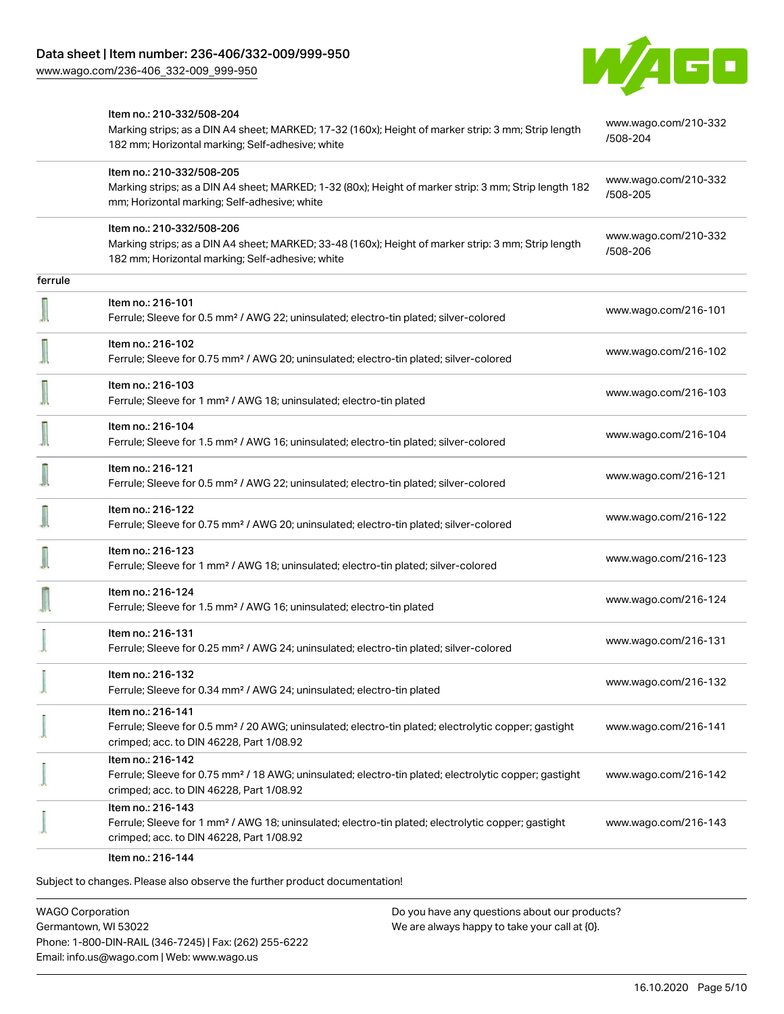[www.wago.com/236-406\\_332-009\\_999-950](http://www.wago.com/236-406_332-009_999-950)



|         | Item no.: 210-332/508-204<br>Marking strips; as a DIN A4 sheet; MARKED; 17-32 (160x); Height of marker strip: 3 mm; Strip length<br>182 mm; Horizontal marking; Self-adhesive; white | www.wago.com/210-332<br>/508-204 |
|---------|--------------------------------------------------------------------------------------------------------------------------------------------------------------------------------------|----------------------------------|
|         | Item no.: 210-332/508-205<br>Marking strips; as a DIN A4 sheet; MARKED; 1-32 (80x); Height of marker strip: 3 mm; Strip length 182<br>mm; Horizontal marking; Self-adhesive; white   | www.wago.com/210-332<br>/508-205 |
|         | Item no.: 210-332/508-206<br>Marking strips; as a DIN A4 sheet; MARKED; 33-48 (160x); Height of marker strip: 3 mm; Strip length<br>182 mm; Horizontal marking; Self-adhesive; white | www.wago.com/210-332<br>/508-206 |
| ferrule |                                                                                                                                                                                      |                                  |
|         | Item no.: 216-101<br>Ferrule; Sleeve for 0.5 mm <sup>2</sup> / AWG 22; uninsulated; electro-tin plated; silver-colored                                                               | www.wago.com/216-101             |
|         | Item no.: 216-102<br>Ferrule; Sleeve for 0.75 mm <sup>2</sup> / AWG 20; uninsulated; electro-tin plated; silver-colored                                                              | www.wago.com/216-102             |
|         | Item no.: 216-103<br>Ferrule; Sleeve for 1 mm <sup>2</sup> / AWG 18; uninsulated; electro-tin plated                                                                                 | www.wago.com/216-103             |
|         | Item no.: 216-104<br>Ferrule; Sleeve for 1.5 mm <sup>2</sup> / AWG 16; uninsulated; electro-tin plated; silver-colored                                                               | www.wago.com/216-104             |
|         | Item no.: 216-121<br>Ferrule; Sleeve for 0.5 mm <sup>2</sup> / AWG 22; uninsulated; electro-tin plated; silver-colored                                                               | www.wago.com/216-121             |
|         | Item no.: 216-122<br>Ferrule; Sleeve for 0.75 mm <sup>2</sup> / AWG 20; uninsulated; electro-tin plated; silver-colored                                                              | www.wago.com/216-122             |
|         | Item no.: 216-123<br>Ferrule; Sleeve for 1 mm <sup>2</sup> / AWG 18; uninsulated; electro-tin plated; silver-colored                                                                 | www.wago.com/216-123             |
|         | Item no.: 216-124<br>Ferrule; Sleeve for 1.5 mm <sup>2</sup> / AWG 16; uninsulated; electro-tin plated                                                                               | www.wago.com/216-124             |
|         | Item no.: 216-131<br>Ferrule; Sleeve for 0.25 mm <sup>2</sup> / AWG 24; uninsulated; electro-tin plated; silver-colored                                                              | www.wago.com/216-131             |
|         | Item no.: 216-132<br>Ferrule; Sleeve for 0.34 mm <sup>2</sup> / AWG 24; uninsulated; electro-tin plated                                                                              | www.wago.com/216-132             |
|         | Item no.: 216-141<br>Ferrule; Sleeve for 0.5 mm <sup>2</sup> / 20 AWG; uninsulated; electro-tin plated; electrolytic copper; gastight<br>crimped; acc. to DIN 46228, Part 1/08.92    | www.wago.com/216-141             |
|         | Item no.: 216-142<br>Ferrule; Sleeve for 0.75 mm <sup>2</sup> / 18 AWG; uninsulated; electro-tin plated; electrolytic copper; gastight<br>crimped; acc. to DIN 46228, Part 1/08.92   | www.wago.com/216-142             |
|         | Item no.: 216-143<br>Ferrule; Sleeve for 1 mm <sup>2</sup> / AWG 18; uninsulated; electro-tin plated; electrolytic copper; gastight<br>crimped; acc. to DIN 46228, Part 1/08.92      | www.wago.com/216-143             |
|         | Item no.: 216-144                                                                                                                                                                    |                                  |

Subject to changes. Please also observe the further product documentation!

WAGO Corporation Germantown, WI 53022 Phone: 1-800-DIN-RAIL (346-7245) | Fax: (262) 255-6222 Email: info.us@wago.com | Web: www.wago.us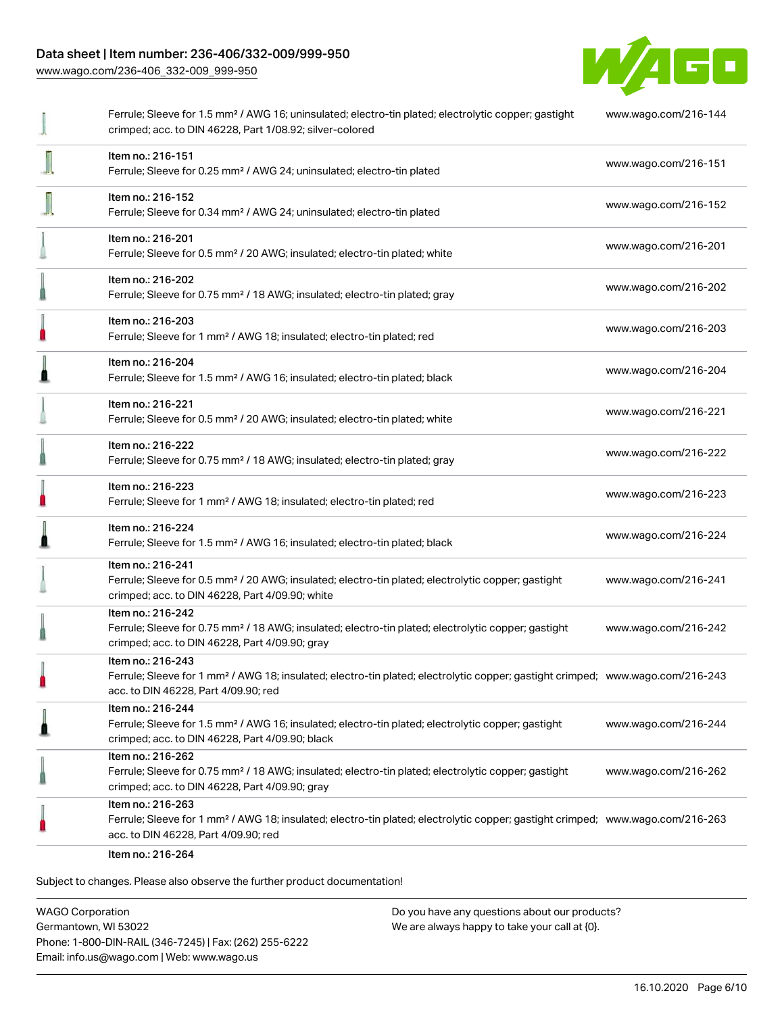### Data sheet | Item number: 236-406/332-009/999-950

[www.wago.com/236-406\\_332-009\\_999-950](http://www.wago.com/236-406_332-009_999-950)



|   | Ferrule; Sleeve for 1.5 mm <sup>2</sup> / AWG 16; uninsulated; electro-tin plated; electrolytic copper; gastight<br>crimped; acc. to DIN 46228, Part 1/08.92; silver-colored                            | www.wago.com/216-144 |
|---|---------------------------------------------------------------------------------------------------------------------------------------------------------------------------------------------------------|----------------------|
|   | Item no.: 216-151<br>Ferrule; Sleeve for 0.25 mm <sup>2</sup> / AWG 24; uninsulated; electro-tin plated                                                                                                 | www.wago.com/216-151 |
|   | Item no.: 216-152<br>Ferrule; Sleeve for 0.34 mm <sup>2</sup> / AWG 24; uninsulated; electro-tin plated                                                                                                 | www.wago.com/216-152 |
|   | Item no.: 216-201<br>Ferrule; Sleeve for 0.5 mm <sup>2</sup> / 20 AWG; insulated; electro-tin plated; white                                                                                             | www.wago.com/216-201 |
|   | Item no.: 216-202<br>Ferrule; Sleeve for 0.75 mm <sup>2</sup> / 18 AWG; insulated; electro-tin plated; gray                                                                                             | www.wago.com/216-202 |
| П | Item no.: 216-203<br>Ferrule; Sleeve for 1 mm <sup>2</sup> / AWG 18; insulated; electro-tin plated; red                                                                                                 | www.wago.com/216-203 |
|   | Item no.: 216-204<br>Ferrule; Sleeve for 1.5 mm <sup>2</sup> / AWG 16; insulated; electro-tin plated; black                                                                                             | www.wago.com/216-204 |
|   | Item no.: 216-221<br>Ferrule; Sleeve for 0.5 mm <sup>2</sup> / 20 AWG; insulated; electro-tin plated; white                                                                                             | www.wago.com/216-221 |
|   | Item no.: 216-222<br>Ferrule; Sleeve for 0.75 mm <sup>2</sup> / 18 AWG; insulated; electro-tin plated; gray                                                                                             | www.wago.com/216-222 |
| n | Item no.: 216-223<br>Ferrule; Sleeve for 1 mm <sup>2</sup> / AWG 18; insulated; electro-tin plated; red                                                                                                 | www.wago.com/216-223 |
|   | Item no.: 216-224<br>Ferrule; Sleeve for 1.5 mm <sup>2</sup> / AWG 16; insulated; electro-tin plated; black                                                                                             | www.wago.com/216-224 |
|   | Item no.: 216-241<br>Ferrule; Sleeve for 0.5 mm <sup>2</sup> / 20 AWG; insulated; electro-tin plated; electrolytic copper; gastight<br>crimped; acc. to DIN 46228, Part 4/09.90; white                  | www.wago.com/216-241 |
|   | Item no.: 216-242<br>Ferrule; Sleeve for 0.75 mm <sup>2</sup> / 18 AWG; insulated; electro-tin plated; electrolytic copper; gastight<br>crimped; acc. to DIN 46228, Part 4/09.90; gray                  | www.wago.com/216-242 |
|   | Item no.: 216-243<br>Ferrule; Sleeve for 1 mm <sup>2</sup> / AWG 18; insulated; electro-tin plated; electrolytic copper; gastight crimped; www.wago.com/216-243<br>acc. to DIN 46228, Part 4/09.90; red |                      |
|   | Item no.: 216-244<br>Ferrule; Sleeve for 1.5 mm <sup>2</sup> / AWG 16; insulated; electro-tin plated; electrolytic copper; gastight<br>crimped; acc. to DIN 46228, Part 4/09.90; black                  | www.wago.com/216-244 |
|   | Item no.: 216-262<br>Ferrule; Sleeve for 0.75 mm <sup>2</sup> / 18 AWG; insulated; electro-tin plated; electrolytic copper; gastight<br>crimped; acc. to DIN 46228, Part 4/09.90; gray                  | www.wago.com/216-262 |
|   | Item no.: 216-263<br>Ferrule; Sleeve for 1 mm <sup>2</sup> / AWG 18; insulated; electro-tin plated; electrolytic copper; gastight crimped; www.wago.com/216-263<br>acc. to DIN 46228, Part 4/09.90; red |                      |
|   | Item no.: 216-264                                                                                                                                                                                       |                      |

Subject to changes. Please also observe the further product documentation!

WAGO Corporation Germantown, WI 53022 Phone: 1-800-DIN-RAIL (346-7245) | Fax: (262) 255-6222 Email: info.us@wago.com | Web: www.wago.us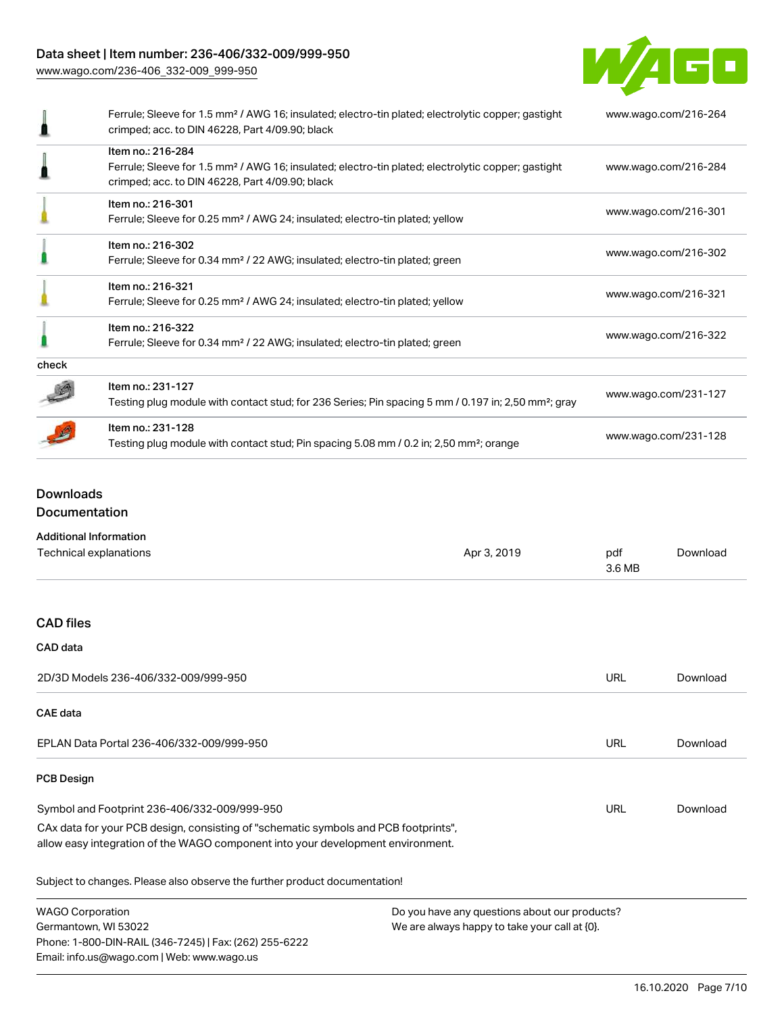Data sheet | Item number: 236-406/332-009/999-950

[www.wago.com/236-406\\_332-009\\_999-950](http://www.wago.com/236-406_332-009_999-950)



|       | Ferrule; Sleeve for 1.5 mm <sup>2</sup> / AWG 16; insulated; electro-tin plated; electrolytic copper; gastight<br>crimped; acc. to DIN 46228, Part 4/09.90; black                      | www.wago.com/216-264 |
|-------|----------------------------------------------------------------------------------------------------------------------------------------------------------------------------------------|----------------------|
|       | Item no.: 216-284<br>Ferrule; Sleeve for 1.5 mm <sup>2</sup> / AWG 16; insulated; electro-tin plated; electrolytic copper; gastight<br>crimped; acc. to DIN 46228, Part 4/09.90; black | www.wago.com/216-284 |
|       | Item no.: 216-301<br>Ferrule; Sleeve for 0.25 mm <sup>2</sup> / AWG 24; insulated; electro-tin plated; yellow                                                                          | www.wago.com/216-301 |
|       | Item no.: 216-302<br>Ferrule; Sleeve for 0.34 mm <sup>2</sup> / 22 AWG; insulated; electro-tin plated; green                                                                           | www.wago.com/216-302 |
|       | Item no.: 216-321<br>Ferrule; Sleeve for 0.25 mm <sup>2</sup> / AWG 24; insulated; electro-tin plated; yellow                                                                          | www.wago.com/216-321 |
|       | Item no.: 216-322<br>Ferrule; Sleeve for 0.34 mm <sup>2</sup> / 22 AWG; insulated; electro-tin plated; green                                                                           | www.wago.com/216-322 |
| check |                                                                                                                                                                                        |                      |
|       | Item no.: 231-127<br>Testing plug module with contact stud; for 236 Series; Pin spacing 5 mm / 0.197 in; 2,50 mm <sup>2</sup> ; gray                                                   | www.wago.com/231-127 |
|       | Item no.: 231-128<br>Testing plug module with contact stud; Pin spacing 5.08 mm / 0.2 in; 2,50 mm <sup>2</sup> ; orange                                                                | www.wago.com/231-128 |

# Downloads Documentation

| <b>Additional Information</b> |  |
|-------------------------------|--|
|-------------------------------|--|

| Technical explanations                                                                                                                                                 | Apr 3, 2019                                                                                       | pdf<br>3.6 MB | Download |
|------------------------------------------------------------------------------------------------------------------------------------------------------------------------|---------------------------------------------------------------------------------------------------|---------------|----------|
| <b>CAD files</b>                                                                                                                                                       |                                                                                                   |               |          |
| <b>CAD</b> data                                                                                                                                                        |                                                                                                   |               |          |
| 2D/3D Models 236-406/332-009/999-950                                                                                                                                   |                                                                                                   | URL           | Download |
| <b>CAE</b> data                                                                                                                                                        |                                                                                                   |               |          |
| EPLAN Data Portal 236-406/332-009/999-950                                                                                                                              |                                                                                                   | <b>URL</b>    | Download |
| <b>PCB Design</b>                                                                                                                                                      |                                                                                                   |               |          |
| Symbol and Footprint 236-406/332-009/999-950                                                                                                                           |                                                                                                   | URL           | Download |
| CAx data for your PCB design, consisting of "schematic symbols and PCB footprints",<br>allow easy integration of the WAGO component into your development environment. |                                                                                                   |               |          |
| Subject to changes. Please also observe the further product documentation!                                                                                             |                                                                                                   |               |          |
| <b>WAGO Corporation</b><br>Germantown, WI 53022<br>Phone: 1-800-DIN-RAIL (346-7245)   Fax: (262) 255-6222<br>Email: info.us@wago.com   Web: www.wago.us                | Do you have any questions about our products?<br>We are always happy to take your call at $[0]$ . |               |          |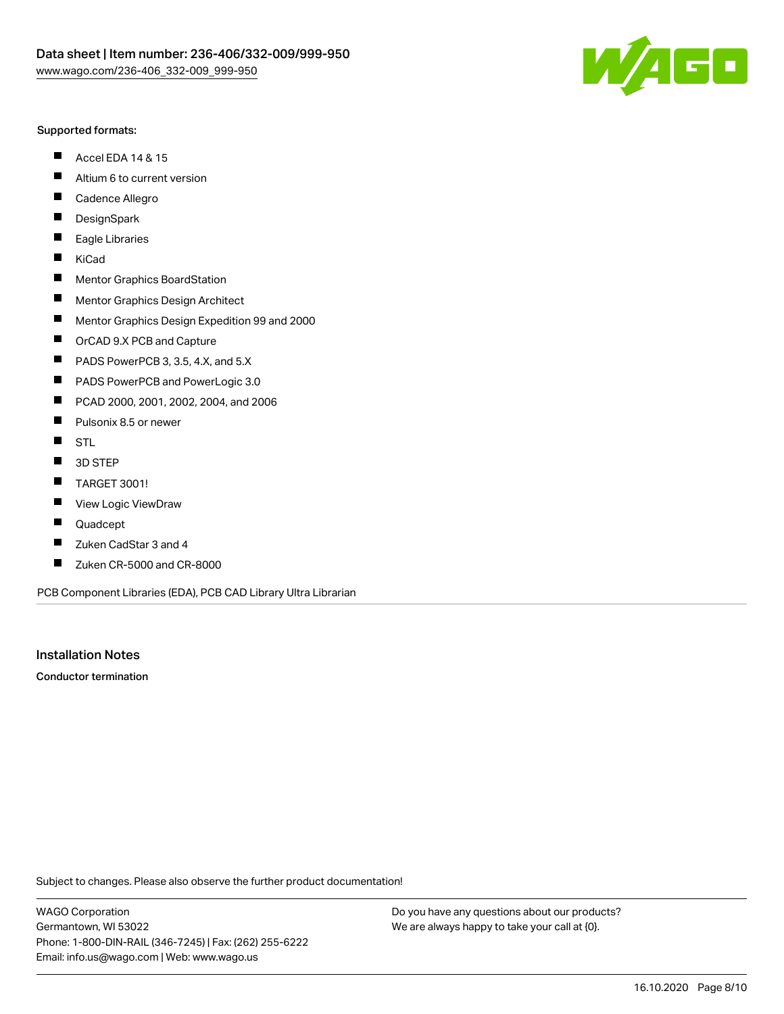

#### Supported formats:

- $\blacksquare$ Accel EDA 14 & 15
- $\blacksquare$ Altium 6 to current version
- $\blacksquare$ Cadence Allegro
- $\blacksquare$ **DesignSpark**
- $\blacksquare$ Eagle Libraries
- $\blacksquare$ KiCad
- $\blacksquare$ Mentor Graphics BoardStation
- $\blacksquare$ Mentor Graphics Design Architect
- $\blacksquare$ Mentor Graphics Design Expedition 99 and 2000
- $\blacksquare$ OrCAD 9.X PCB and Capture
- $\blacksquare$ PADS PowerPCB 3, 3.5, 4.X, and 5.X
- $\blacksquare$ PADS PowerPCB and PowerLogic 3.0
- $\blacksquare$ PCAD 2000, 2001, 2002, 2004, and 2006
- $\blacksquare$ Pulsonix 8.5 or newer
- $\blacksquare$ STL
- 3D STEP П
- $\blacksquare$ TARGET 3001!
- $\blacksquare$ View Logic ViewDraw
- П Quadcept
- Zuken CadStar 3 and 4  $\blacksquare$
- Zuken CR-5000 and CR-8000 П

PCB Component Libraries (EDA), PCB CAD Library Ultra Librarian

Installation Notes

Conductor termination

Subject to changes. Please also observe the further product documentation!

WAGO Corporation Germantown, WI 53022 Phone: 1-800-DIN-RAIL (346-7245) | Fax: (262) 255-6222 Email: info.us@wago.com | Web: www.wago.us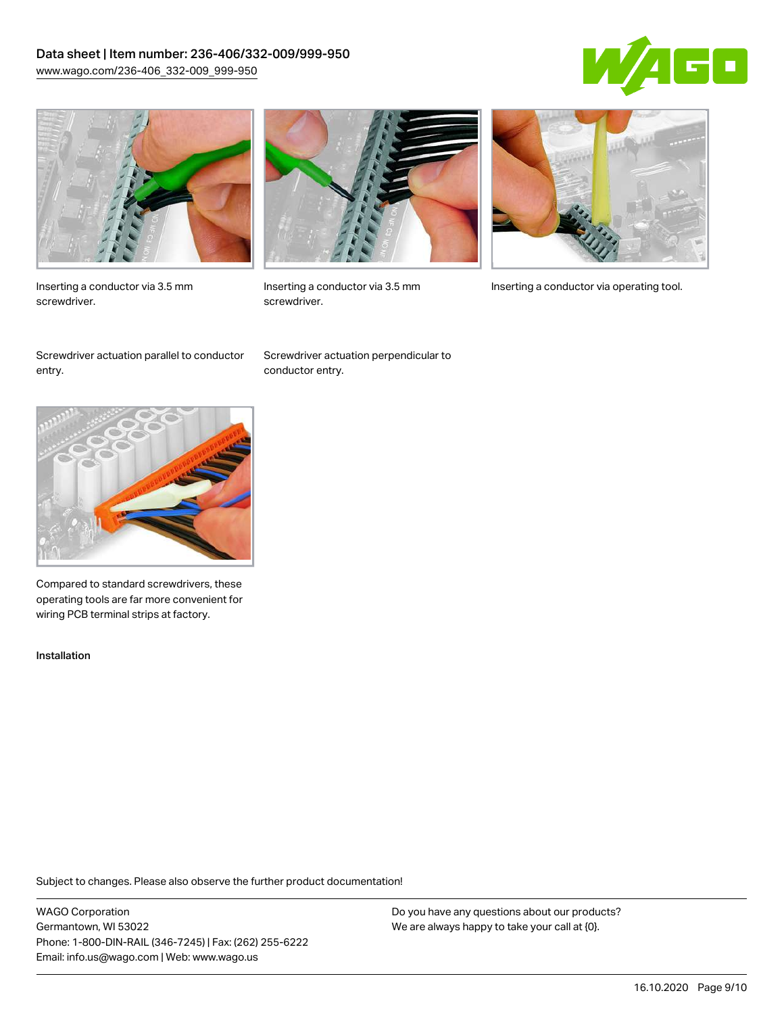### Data sheet | Item number: 236-406/332-009/999-950 [www.wago.com/236-406\\_332-009\\_999-950](http://www.wago.com/236-406_332-009_999-950)





Inserting a conductor via 3.5 mm screwdriver.



screwdriver.

Inserting a conductor via 3.5 mm Inserting a conductor via operating tool.

Screwdriver actuation parallel to conductor entry.

Screwdriver actuation perpendicular to conductor entry.



Compared to standard screwdrivers, these operating tools are far more convenient for wiring PCB terminal strips at factory.

Installation

Subject to changes. Please also observe the further product documentation!

WAGO Corporation Germantown, WI 53022 Phone: 1-800-DIN-RAIL (346-7245) | Fax: (262) 255-6222 Email: info.us@wago.com | Web: www.wago.us